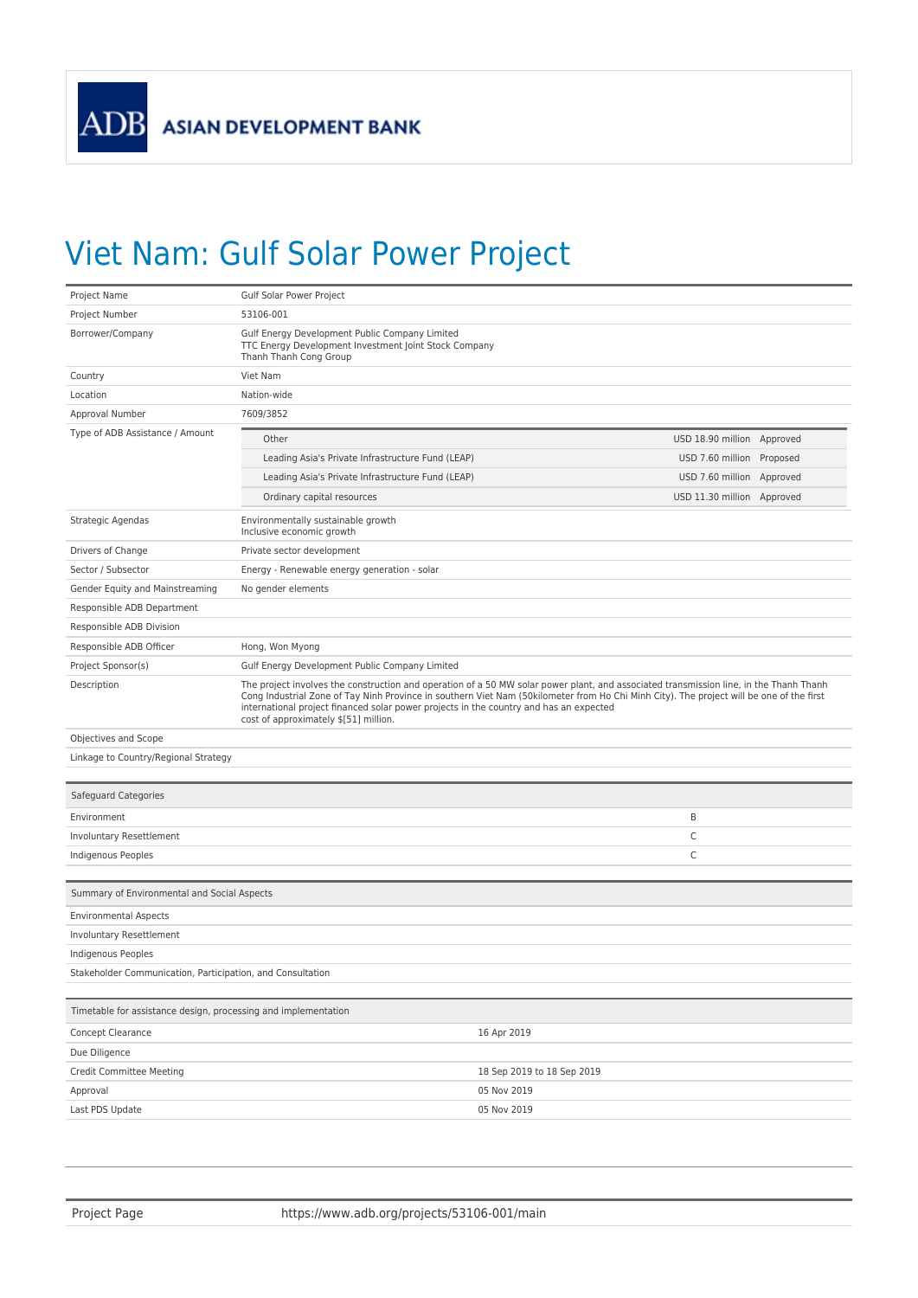## Viet Nam: Gulf Solar Power Project

| Project Name                                                   | Gulf Solar Power Project                                                                                                          |                                                                                                                                                                                                                                                                                    |  |  |
|----------------------------------------------------------------|-----------------------------------------------------------------------------------------------------------------------------------|------------------------------------------------------------------------------------------------------------------------------------------------------------------------------------------------------------------------------------------------------------------------------------|--|--|
| Project Number                                                 | 53106-001                                                                                                                         |                                                                                                                                                                                                                                                                                    |  |  |
| Borrower/Company                                               | Gulf Energy Development Public Company Limited<br>TTC Energy Development Investment Joint Stock Company<br>Thanh Thanh Cong Group |                                                                                                                                                                                                                                                                                    |  |  |
| Country                                                        | Viet Nam                                                                                                                          |                                                                                                                                                                                                                                                                                    |  |  |
| Location                                                       | Nation-wide                                                                                                                       |                                                                                                                                                                                                                                                                                    |  |  |
| Approval Number                                                | 7609/3852                                                                                                                         |                                                                                                                                                                                                                                                                                    |  |  |
| Type of ADB Assistance / Amount                                | Other                                                                                                                             | USD 18.90 million Approved                                                                                                                                                                                                                                                         |  |  |
|                                                                | Leading Asia's Private Infrastructure Fund (LEAP)                                                                                 | USD 7.60 million Proposed                                                                                                                                                                                                                                                          |  |  |
|                                                                | Leading Asia's Private Infrastructure Fund (LEAP)                                                                                 | USD 7.60 million Approved                                                                                                                                                                                                                                                          |  |  |
|                                                                | Ordinary capital resources                                                                                                        | USD 11.30 million Approved                                                                                                                                                                                                                                                         |  |  |
| Strategic Agendas                                              | Environmentally sustainable growth<br>Inclusive economic growth                                                                   |                                                                                                                                                                                                                                                                                    |  |  |
| Drivers of Change                                              | Private sector development                                                                                                        |                                                                                                                                                                                                                                                                                    |  |  |
| Sector / Subsector                                             | Energy - Renewable energy generation - solar                                                                                      |                                                                                                                                                                                                                                                                                    |  |  |
| Gender Equity and Mainstreaming                                | No gender elements                                                                                                                |                                                                                                                                                                                                                                                                                    |  |  |
| Responsible ADB Department                                     |                                                                                                                                   |                                                                                                                                                                                                                                                                                    |  |  |
| Responsible ADB Division                                       |                                                                                                                                   |                                                                                                                                                                                                                                                                                    |  |  |
| Responsible ADB Officer                                        | Hong, Won Myong                                                                                                                   |                                                                                                                                                                                                                                                                                    |  |  |
| Project Sponsor(s)                                             | Gulf Energy Development Public Company Limited                                                                                    |                                                                                                                                                                                                                                                                                    |  |  |
| Description                                                    | international project financed solar power projects in the country and has an expected<br>cost of approximately \$[51] million.   | The project involves the construction and operation of a 50 MW solar power plant, and associated transmission line, in the Thanh Thanh<br>Cong Industrial Zone of Tay Ninh Province in southern Viet Nam (50kilometer from Ho Chi Minh City). The project will be one of the first |  |  |
| Objectives and Scope                                           |                                                                                                                                   |                                                                                                                                                                                                                                                                                    |  |  |
| Linkage to Country/Regional Strategy                           |                                                                                                                                   |                                                                                                                                                                                                                                                                                    |  |  |
| Safeguard Categories                                           |                                                                                                                                   |                                                                                                                                                                                                                                                                                    |  |  |
| Environment                                                    |                                                                                                                                   | B                                                                                                                                                                                                                                                                                  |  |  |
| Involuntary Resettlement                                       |                                                                                                                                   | C                                                                                                                                                                                                                                                                                  |  |  |
| Indigenous Peoples                                             |                                                                                                                                   | C                                                                                                                                                                                                                                                                                  |  |  |
| Summary of Environmental and Social Aspects                    |                                                                                                                                   |                                                                                                                                                                                                                                                                                    |  |  |
| <b>Environmental Aspects</b>                                   |                                                                                                                                   |                                                                                                                                                                                                                                                                                    |  |  |
| Involuntary Resettlement                                       |                                                                                                                                   |                                                                                                                                                                                                                                                                                    |  |  |
| Indigenous Peoples                                             |                                                                                                                                   |                                                                                                                                                                                                                                                                                    |  |  |
| Stakeholder Communication, Participation, and Consultation     |                                                                                                                                   |                                                                                                                                                                                                                                                                                    |  |  |
| Timetable for assistance design, processing and implementation |                                                                                                                                   |                                                                                                                                                                                                                                                                                    |  |  |
| Concept Clearance                                              |                                                                                                                                   | 16 Apr 2019                                                                                                                                                                                                                                                                        |  |  |
| Due Diligence                                                  |                                                                                                                                   |                                                                                                                                                                                                                                                                                    |  |  |
| Credit Committee Meeting                                       |                                                                                                                                   | 18 Sep 2019 to 18 Sep 2019                                                                                                                                                                                                                                                         |  |  |
| Approval                                                       |                                                                                                                                   | 05 Nov 2019                                                                                                                                                                                                                                                                        |  |  |
| Last PDS Update                                                |                                                                                                                                   | 05 Nov 2019                                                                                                                                                                                                                                                                        |  |  |
|                                                                |                                                                                                                                   |                                                                                                                                                                                                                                                                                    |  |  |